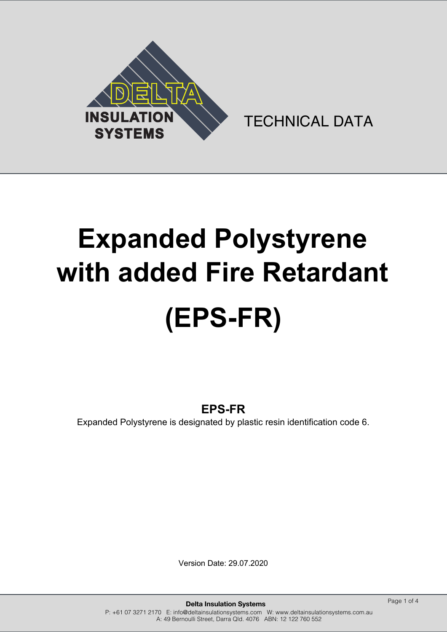

TECHNICAL DATA

# **Expanded Polystyrene with added Fire Retardant (EPS-FR)**

# **EPS-FR**

Expanded Polystyrene is designated by plastic resin identification code 6.

Version Date: 29.07.2020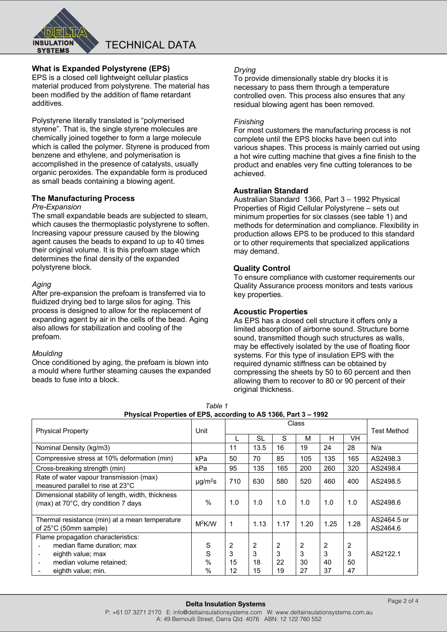

# **What is Expanded Polystyrene (EPS)**

EPS is a closed cell lightweight cellular plastics material produced from polystyrene. The material has been modified by the addition of flame retardant additives.

Polystyrene literally translated is "polymerised styrene". That is, the single styrene molecules are chemically joined together to form a large molecule which is called the polymer. Styrene is produced from benzene and ethylene, and polymerisation is accomplished in the presence of catalysts, usually organic peroxides. The expandable form is produced as small beads containing a blowing agent.

# **The Manufacturing Process**

#### *Pre-Expansion*

The small expandable beads are subjected to steam, which causes the thermoplastic polystyrene to soften. Increasing vapour pressure caused by the blowing agent causes the beads to expand to up to 40 times their original volume. It is this prefoam stage which determines the final density of the expanded polystyrene block.

#### *Aging*

After pre-expansion the prefoam is transferred via to fluidized drying bed to large silos for aging. This process is designed to allow for the replacement of expanding agent by air in the cells of the bead. Aging also allows for stabilization and cooling of the prefoam.

#### *Moulding*

Once conditioned by aging, the prefoam is blown into a mould where further steaming causes the expanded beads to fuse into a block.

#### *Drying*

To provide dimensionally stable dry blocks it is necessary to pass them through a temperature controlled oven. This process also ensures that any residual blowing agent has been removed.

#### *Finishing*

For most customers the manufacturing process is not complete until the EPS blocks have been cut into various shapes. This process is mainly carried out using a hot wire cutting machine that gives a fine finish to the product and enables very fine cutting tolerances to be achieved.

#### **Australian Standard**

Australian Standard 1366, Part 3 – 1992 Physical Properties of Rigid Cellular Polystyrene – sets out minimum properties for six classes (see table 1) and methods for determination and compliance. Flexibility in production allows EPS to be produced to this standard or to other requirements that specialized applications may demand.

#### **Quality Control**

To ensure compliance with customer requirements our Quality Assurance process monitors and tests various key properties.

#### **Acoustic Properties**

As EPS has a closed cell structure it offers only a limited absorption of airborne sound. Structure borne sound, transmitted though such structures as walls, may be effectively isolated by the use of floating floor systems. For this type of insulation EPS with the required dynamic stiffness can be obtained by compressing the sheets by 50 to 60 percent and then allowing them to recover to 80 or 90 percent of their original thickness.

| Table 1                                                         |
|-----------------------------------------------------------------|
| Physical Properties of EPS, according to AS 1366, Part 3 – 1992 |

| <b>Physical Property</b>                                                                 | Unit                     | Class |           |      |      |      | <b>Test Method</b> |                         |
|------------------------------------------------------------------------------------------|--------------------------|-------|-----------|------|------|------|--------------------|-------------------------|
|                                                                                          |                          |       | <b>SL</b> | S    | м    | н    | VH                 |                         |
| Nominal Density (kg/m3)                                                                  |                          | 11    | 13.5      | 16   | 19   | 24   | 28                 | N/a                     |
| Compressive stress at 10% deformation (min)                                              | kPa                      | 50    | 70        | 85   | 105  | 135  | 165                | AS2498.3                |
| Cross-breaking strength (min)                                                            | kPa                      | 95    | 135       | 165  | 200  | 260  | 320                | AS2498.4                |
| Rate of water vapour transmission (max)<br>measured parallel to rise at 23°C             | $\mu$ g/m <sup>2</sup> s | 710   | 630       | 580  | 520  | 460  | 400                | AS2498.5                |
| Dimensional stability of length, width, thickness<br>(max) at 70°C, dry condition 7 days | %                        | 1.0   | 1.0       | 1.0  | 1.0  | 1.0  | 1.0                | AS2498.6                |
| Thermal resistance (min) at a mean temperature<br>of 25°C (50mm sample)                  | $M^2$ K/W                | 1     | 1.13      | 1.17 | 1.20 | 1.25 | 1.28               | AS2464.5 or<br>AS2464.6 |
| Flame propagation characteristics:                                                       |                          |       |           |      |      |      |                    |                         |
| median flame duration; max                                                               | S                        | 2     | 2         | 2    | 2    | 2    | $\overline{2}$     |                         |
| eighth value; max<br>$\overline{\phantom{a}}$                                            | S                        | 3     | 3         | 3    | 3    | 3    | 3                  | AS2122.1                |
| median volume retained:                                                                  | $\%$                     | 15    | 18        | 22   | 30   | 40   | 50                 |                         |
| eighth value; min.                                                                       | %                        | 12    | 15        | 19   | 27   | 37   | 47                 |                         |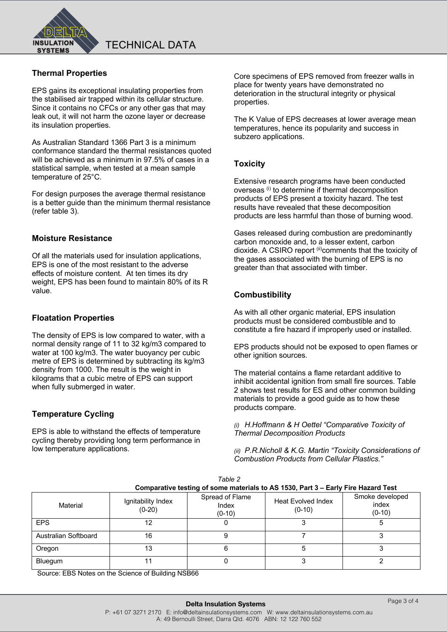

# **Thermal Properties**

EPS gains its exceptional insulating properties from the stabilised air trapped within its cellular structure. Since it contains no CFCs or any other gas that may leak out, it will not harm the ozone layer or decrease its insulation properties.

As Australian Standard 1366 Part 3 is a minimum conformance standard the thermal resistances quoted will be achieved as a minimum in 97.5% of cases in a statistical sample, when tested at a mean sample temperature of 25°C.

For design purposes the average thermal resistance is a better guide than the minimum thermal resistance (refer table 3).

#### **Moisture Resistance**

Of all the materials used for insulation applications, EPS is one of the most resistant to the adverse effects of moisture content. At ten times its dry weight, EPS has been found to maintain 80% of its R value.

#### **Floatation Properties**

The density of EPS is low compared to water, with a normal density range of 11 to 32 kg/m3 compared to water at 100 kg/m3. The water buoyancy per cubic metre of EPS is determined by subtracting its kg/m3 density from 1000. The result is the weight in kilograms that a cubic metre of EPS can support when fully submerged in water.

#### **Temperature Cycling**

EPS is able to withstand the effects of temperature cycling thereby providing long term performance in low temperature applications.

Core specimens of EPS removed from freezer walls in place for twenty years have demonstrated no deterioration in the structural integrity or physical properties.

The K Value of EPS decreases at lower average mean temperatures, hence its popularity and success in subzero applications.

#### **Toxicity**

Extensive research programs have been conducted overseas (i) to determine if thermal decomposition products of EPS present a toxicity hazard. The test results have revealed that these decomposition products are less harmful than those of burning wood.

Gases released during combustion are predominantly carbon monoxide and, to a lesser extent, carbon dioxide. A CSIRO report (ii)comments that the toxicity of the gases associated with the burning of EPS is no greater than that associated with timber.

### **Combustibility**

As with all other organic material, EPS insulation products must be considered combustible and to constitute a fire hazard if improperly used or installed.

EPS products should not be exposed to open flames or other ignition sources.

The material contains a flame retardant additive to inhibit accidental ignition from small fire sources. Table 2 shows test results for ES and other common building materials to provide a good guide as to how these products compare.

*(i) H.Hoffmann & H Oettel "Comparative Toxicity of Thermal Decomposition Products* 

*(ii) P.R.Nicholl & K.G. Martin "Toxicity Considerations of Combustion Products from Cellular Plastics."* 

| Comparative testing of some materials to AS 1530, Part 3 - Early Fire Hazard Test |                                |                                      |                                       |                                      |  |  |  |
|-----------------------------------------------------------------------------------|--------------------------------|--------------------------------------|---------------------------------------|--------------------------------------|--|--|--|
| Material                                                                          | Ignitability Index<br>$(0-20)$ | Spread of Flame<br>Index<br>$(0-10)$ | <b>Heat Evolved Index</b><br>$(0-10)$ | Smoke developed<br>index<br>$(0-10)$ |  |  |  |
| <b>EPS</b>                                                                        | 12                             |                                      |                                       |                                      |  |  |  |
| Australian Softboard                                                              | 16                             |                                      |                                       |                                      |  |  |  |
| Oregon                                                                            | 13                             |                                      |                                       |                                      |  |  |  |
| Bluegum                                                                           |                                |                                      |                                       |                                      |  |  |  |

*Table 2* 

Source: EBS Notes on the Science of Building NSB66